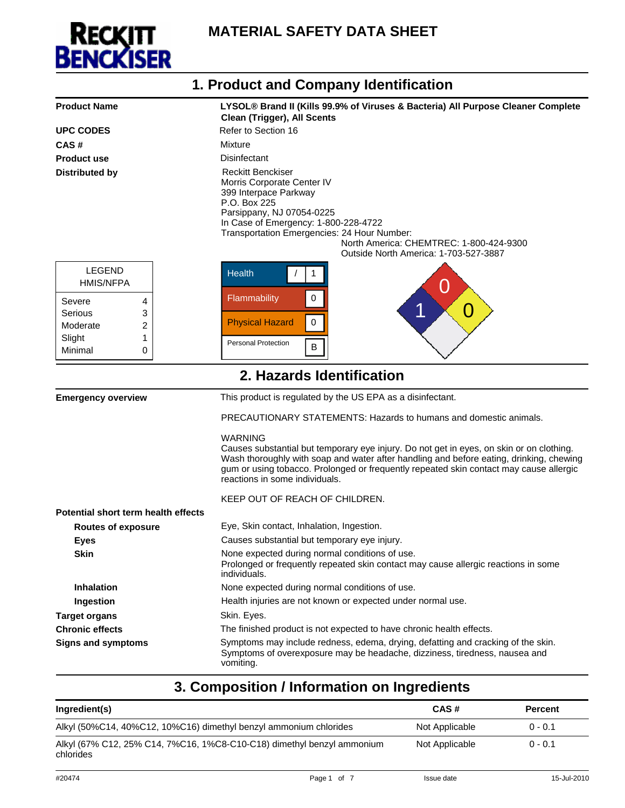

| 1. Product and Company Identification                                       |                                                                                                                                                                                                                                                                                                                                   |  |  |
|-----------------------------------------------------------------------------|-----------------------------------------------------------------------------------------------------------------------------------------------------------------------------------------------------------------------------------------------------------------------------------------------------------------------------------|--|--|
| <b>Product Name</b>                                                         | LYSOL® Brand II (Kills 99.9% of Viruses & Bacteria) All Purpose Cleaner Complete<br><b>Clean (Trigger), All Scents</b>                                                                                                                                                                                                            |  |  |
| <b>UPC CODES</b>                                                            | Refer to Section 16                                                                                                                                                                                                                                                                                                               |  |  |
| CAS#                                                                        | Mixture                                                                                                                                                                                                                                                                                                                           |  |  |
| <b>Product use</b>                                                          | Disinfectant                                                                                                                                                                                                                                                                                                                      |  |  |
| <b>Distributed by</b>                                                       | <b>Reckitt Benckiser</b><br>Morris Corporate Center IV<br>399 Interpace Parkway<br>P.O. Box 225<br>Parsippany, NJ 07054-0225<br>In Case of Emergency: 1-800-228-4722<br>Transportation Emergencies: 24 Hour Number:<br>North America: CHEMTREC: 1-800-424-9300<br>Outside North America: 1-703-527-3887                           |  |  |
| <b>LEGEND</b><br><b>HMIS/NFPA</b>                                           | <b>Health</b><br>1<br>Û                                                                                                                                                                                                                                                                                                           |  |  |
| Severe<br>4<br>Serious<br>3<br>2<br>Moderate<br>Slight<br>1<br>Minimal<br>0 | $\pmb{0}$<br>Flammability<br>1<br>O<br>$\pmb{0}$<br><b>Physical Hazard</b><br><b>Personal Protection</b><br>$\sf B$                                                                                                                                                                                                               |  |  |
|                                                                             |                                                                                                                                                                                                                                                                                                                                   |  |  |
|                                                                             | 2. Hazards Identification                                                                                                                                                                                                                                                                                                         |  |  |
| <b>Emergency overview</b>                                                   | This product is regulated by the US EPA as a disinfectant.                                                                                                                                                                                                                                                                        |  |  |
|                                                                             | PRECAUTIONARY STATEMENTS: Hazards to humans and domestic animals.                                                                                                                                                                                                                                                                 |  |  |
|                                                                             | <b>WARNING</b><br>Causes substantial but temporary eye injury. Do not get in eyes, on skin or on clothing.<br>Wash thoroughly with soap and water after handling and before eating, drinking, chewing<br>gum or using tobacco. Prolonged or frequently repeated skin contact may cause allergic<br>reactions in some individuals. |  |  |
|                                                                             | KEEP OUT OF REACH OF CHILDREN.                                                                                                                                                                                                                                                                                                    |  |  |
| Potential short term health effects                                         |                                                                                                                                                                                                                                                                                                                                   |  |  |
| <b>Routes of exposure</b>                                                   | Eye, Skin contact, Inhalation, Ingestion.                                                                                                                                                                                                                                                                                         |  |  |
| Eyes                                                                        | Causes substantial but temporary eye injury.                                                                                                                                                                                                                                                                                      |  |  |
| <b>Skin</b>                                                                 | None expected during normal conditions of use.<br>Prolonged or frequently repeated skin contact may cause allergic reactions in some<br>individuals.                                                                                                                                                                              |  |  |
| <b>Inhalation</b>                                                           | None expected during normal conditions of use.                                                                                                                                                                                                                                                                                    |  |  |
| Ingestion                                                                   | Health injuries are not known or expected under normal use.                                                                                                                                                                                                                                                                       |  |  |
| <b>Target organs</b>                                                        | Skin. Eyes.                                                                                                                                                                                                                                                                                                                       |  |  |
| <b>Chronic effects</b>                                                      | The finished product is not expected to have chronic health effects.                                                                                                                                                                                                                                                              |  |  |
| <b>Signs and symptoms</b>                                                   | Symptoms may include redness, edema, drying, defatting and cracking of the skin.<br>Symptoms of overexposure may be headache, dizziness, tiredness, nausea and<br>vomiting.                                                                                                                                                       |  |  |

# **3. Composition / Information on Ingredients**

| Ingredient(s)                                                                       | CAS#           | <b>Percent</b> |
|-------------------------------------------------------------------------------------|----------------|----------------|
| Alkyl (50%C14, 40%C12, 10%C16) dimethyl benzyl ammonium chlorides                   | Not Applicable | $0 - 0.1$      |
| Alkyl (67% C12, 25% C14, 7%C16, 1%C8-C10-C18) dimethyl benzyl ammonium<br>chlorides | Not Applicable | $0 - 0.1$      |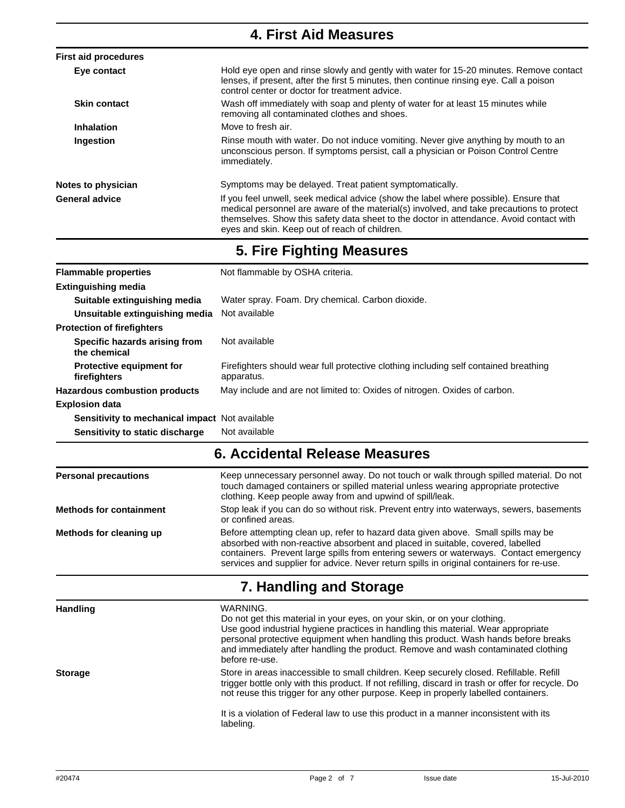|                                                 | <b>4. First Aid Measures</b>                                                                                                                                                                                                                                                                                                 |
|-------------------------------------------------|------------------------------------------------------------------------------------------------------------------------------------------------------------------------------------------------------------------------------------------------------------------------------------------------------------------------------|
| <b>First aid procedures</b>                     |                                                                                                                                                                                                                                                                                                                              |
| Eye contact                                     | Hold eye open and rinse slowly and gently with water for 15-20 minutes. Remove contact<br>lenses, if present, after the first 5 minutes, then continue rinsing eye. Call a poison<br>control center or doctor for treatment advice.                                                                                          |
| <b>Skin contact</b>                             | Wash off immediately with soap and plenty of water for at least 15 minutes while<br>removing all contaminated clothes and shoes.                                                                                                                                                                                             |
| <b>Inhalation</b>                               | Move to fresh air.                                                                                                                                                                                                                                                                                                           |
| Ingestion                                       | Rinse mouth with water. Do not induce vomiting. Never give anything by mouth to an<br>unconscious person. If symptoms persist, call a physician or Poison Control Centre<br>immediately.                                                                                                                                     |
| Notes to physician                              | Symptoms may be delayed. Treat patient symptomatically.                                                                                                                                                                                                                                                                      |
| <b>General advice</b>                           | If you feel unwell, seek medical advice (show the label where possible). Ensure that<br>medical personnel are aware of the material(s) involved, and take precautions to protect<br>themselves. Show this safety data sheet to the doctor in attendance. Avoid contact with<br>eyes and skin. Keep out of reach of children. |
|                                                 | 5. Fire Fighting Measures                                                                                                                                                                                                                                                                                                    |
| <b>Flammable properties</b>                     | Not flammable by OSHA criteria.                                                                                                                                                                                                                                                                                              |
| <b>Extinguishing media</b>                      |                                                                                                                                                                                                                                                                                                                              |
| Suitable extinguishing media                    | Water spray. Foam. Dry chemical. Carbon dioxide.                                                                                                                                                                                                                                                                             |
| Unsuitable extinguishing media                  | Not available                                                                                                                                                                                                                                                                                                                |
| <b>Protection of firefighters</b>               |                                                                                                                                                                                                                                                                                                                              |
| Specific hazards arising from<br>the chemical   | Not available                                                                                                                                                                                                                                                                                                                |
| <b>Protective equipment for</b><br>firefighters | Firefighters should wear full protective clothing including self contained breathing<br>apparatus.                                                                                                                                                                                                                           |
| <b>Hazardous combustion products</b>            | May include and are not limited to: Oxides of nitrogen. Oxides of carbon.                                                                                                                                                                                                                                                    |
| <b>Explosion data</b>                           |                                                                                                                                                                                                                                                                                                                              |
| Sensitivity to mechanical impact Not available  |                                                                                                                                                                                                                                                                                                                              |
| Sensitivity to static discharge                 | Not available                                                                                                                                                                                                                                                                                                                |
|                                                 | 6. Accidental Release Measures                                                                                                                                                                                                                                                                                               |
| <b>Personal precautions</b>                     | Keep unnecessary personnel away. Do not touch or walk through spilled material. Do not<br>touch damaged containers or spilled material unless wearing appropriate protective<br>clothing. Keep people away from and upwind of spill/leak.                                                                                    |

**Methods for containment** Stop leak if you can do so without risk. Prevent entry into waterways, sewers, basements or confined areas. **Methods for cleaning up** Before attempting clean up, refer to hazard data given above. Small spills may be absorbed with non-reactive absorbent and placed in suitable, covered, labelled

containers. Prevent large spills from entering sewers or waterways. Contact emergency services and supplier for advice. Never return spills in original containers for re-use.

#### **7. Handling and Storage**

**Handling** WARNING. Do not get this material in your eyes, on your skin, or on your clothing. Use good industrial hygiene practices in handling this material. Wear appropriate personal protective equipment when handling this product. Wash hands before breaks and immediately after handling the product. Remove and wash contaminated clothing before re-use. **Storage Store in areas inaccessible to small children. Keep securely closed. Refillable. Refill** trigger bottle only with this product. If not refilling, discard in trash or offer for recycle. Do not reuse this trigger for any other purpose. Keep in properly labelled containers. It is a violation of Federal law to use this product in a manner inconsistent with its labeling.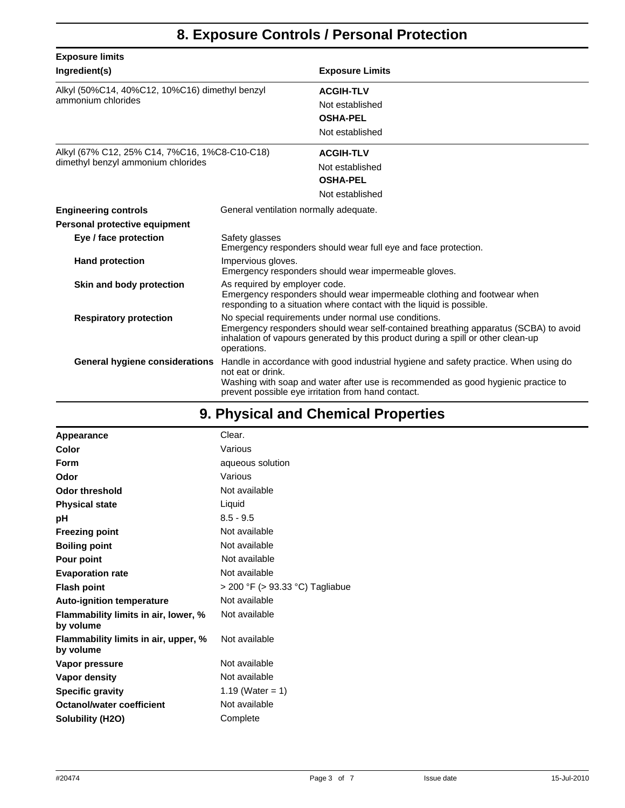## **8. Exposure Controls / Personal Protection**

| <b>Exposure limits</b>                                               |                                                                                                                                                                                                                                                |                                                                                                                                                                                                                                 |  |
|----------------------------------------------------------------------|------------------------------------------------------------------------------------------------------------------------------------------------------------------------------------------------------------------------------------------------|---------------------------------------------------------------------------------------------------------------------------------------------------------------------------------------------------------------------------------|--|
| Ingredient(s)                                                        |                                                                                                                                                                                                                                                | <b>Exposure Limits</b>                                                                                                                                                                                                          |  |
| Alkyl (50%C14, 40%C12, 10%C16) dimethyl benzyl<br>ammonium chlorides |                                                                                                                                                                                                                                                | <b>ACGIH-TLV</b><br>Not established                                                                                                                                                                                             |  |
|                                                                      |                                                                                                                                                                                                                                                | <b>OSHA-PEL</b>                                                                                                                                                                                                                 |  |
|                                                                      |                                                                                                                                                                                                                                                | Not established                                                                                                                                                                                                                 |  |
| Alkyl (67% C12, 25% C14, 7%C16, 1%C8-C10-C18)                        |                                                                                                                                                                                                                                                | <b>ACGIH-TLV</b>                                                                                                                                                                                                                |  |
| dimethyl benzyl ammonium chlorides                                   |                                                                                                                                                                                                                                                | Not established                                                                                                                                                                                                                 |  |
|                                                                      |                                                                                                                                                                                                                                                | <b>OSHA-PEL</b>                                                                                                                                                                                                                 |  |
|                                                                      |                                                                                                                                                                                                                                                | Not established                                                                                                                                                                                                                 |  |
| <b>Engineering controls</b>                                          | General ventilation normally adequate.                                                                                                                                                                                                         |                                                                                                                                                                                                                                 |  |
| Personal protective equipment                                        |                                                                                                                                                                                                                                                |                                                                                                                                                                                                                                 |  |
| Eye / face protection                                                | Safety glasses                                                                                                                                                                                                                                 | Emergency responders should wear full eye and face protection.                                                                                                                                                                  |  |
| <b>Hand protection</b>                                               | Impervious gloves.<br>Emergency responders should wear impermeable gloves.                                                                                                                                                                     |                                                                                                                                                                                                                                 |  |
| Skin and body protection                                             | As required by employer code.<br>Emergency responders should wear impermeable clothing and footwear when<br>responding to a situation where contact with the liquid is possible.                                                               |                                                                                                                                                                                                                                 |  |
| <b>Respiratory protection</b>                                        | No special requirements under normal use conditions.<br>Emergency responders should wear self-contained breathing apparatus (SCBA) to avoid<br>inhalation of vapours generated by this product during a spill or other clean-up<br>operations. |                                                                                                                                                                                                                                 |  |
| General hygiene considerations                                       | not eat or drink.                                                                                                                                                                                                                              | Handle in accordance with good industrial hygiene and safety practice. When using do<br>Washing with soap and water after use is recommended as good hygienic practice to<br>prevent possible eye irritation from hand contact. |  |

# **9. Physical and Chemical Properties**

| Appearance                                        | Clear.                          |
|---------------------------------------------------|---------------------------------|
| Color                                             | Various                         |
| Form                                              | aqueous solution                |
| Odor                                              | Various                         |
| Odor threshold                                    | Not available                   |
| <b>Physical state</b>                             | Liquid                          |
| рH                                                | $8.5 - 9.5$                     |
| <b>Freezing point</b>                             | Not available                   |
| <b>Boiling point</b>                              | Not available                   |
| Pour point                                        | Not available                   |
| <b>Evaporation rate</b>                           | Not available                   |
| <b>Flash point</b>                                | > 200 °F (> 93.33 °C) Tagliabue |
| <b>Auto-ignition temperature</b>                  | Not available                   |
| Flammability limits in air, lower, %<br>by volume | Not available                   |
| Flammability limits in air, upper, %<br>by volume | Not available                   |
| Vapor pressure                                    | Not available                   |
| Vapor density                                     | Not available                   |
| <b>Specific gravity</b>                           | 1.19 (Water = 1)                |
| Octanol/water coefficient                         | Not available                   |
| Solubility (H2O)                                  | Complete                        |
|                                                   |                                 |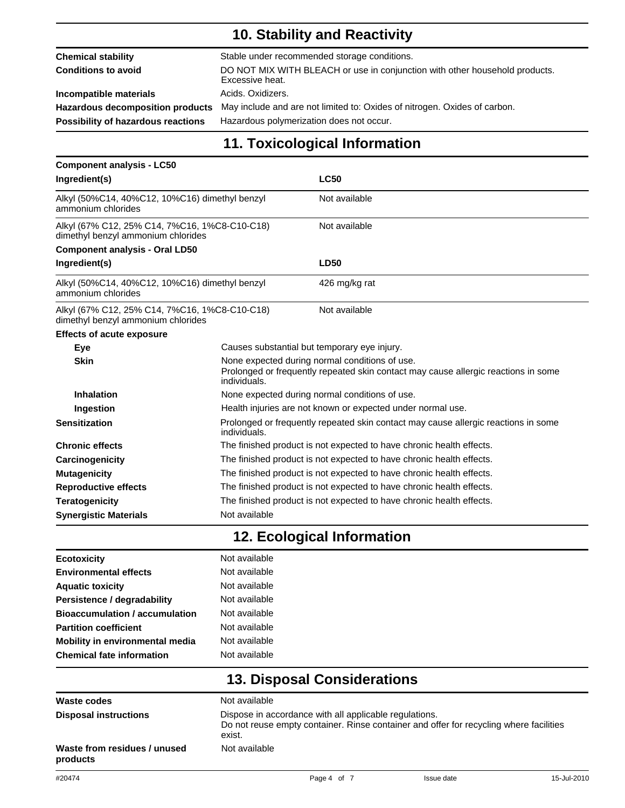## **10. Stability and Reactivity**

| <b>Chemical stability</b>                 | Stable under recommended storage conditions.                                                   |
|-------------------------------------------|------------------------------------------------------------------------------------------------|
| Conditions to avoid                       | DO NOT MIX WITH BLEACH or use in conjunction with other household products.<br>Excessive heat. |
| Incompatible materials                    | Acids, Oxidizers.                                                                              |
| <b>Hazardous decomposition products</b>   | May include and are not limited to: Oxides of nitrogen. Oxides of carbon.                      |
| <b>Possibility of hazardous reactions</b> | Hazardous polymerization does not occur.                                                       |

## **11. Toxicological Information**

| <b>Component analysis - LC50</b>                                                    |                                                                                                                                                      |                                              |  |
|-------------------------------------------------------------------------------------|------------------------------------------------------------------------------------------------------------------------------------------------------|----------------------------------------------|--|
| Ingredient(s)                                                                       |                                                                                                                                                      | <b>LC50</b>                                  |  |
| Alkyl (50%C14, 40%C12, 10%C16) dimethyl benzyl<br>ammonium chlorides                |                                                                                                                                                      | Not available                                |  |
| Alkyl (67% C12, 25% C14, 7%C16, 1%C8-C10-C18)<br>dimethyl benzyl ammonium chlorides |                                                                                                                                                      | Not available                                |  |
| <b>Component analysis - Oral LD50</b>                                               |                                                                                                                                                      |                                              |  |
| Ingredient(s)                                                                       |                                                                                                                                                      | <b>LD50</b>                                  |  |
| Alkyl (50%C14, 40%C12, 10%C16) dimethyl benzyl<br>ammonium chlorides                |                                                                                                                                                      | 426 mg/kg rat                                |  |
| Alkyl (67% C12, 25% C14, 7%C16, 1%C8-C10-C18)<br>dimethyl benzyl ammonium chlorides |                                                                                                                                                      | Not available                                |  |
| <b>Effects of acute exposure</b>                                                    |                                                                                                                                                      |                                              |  |
| Eye                                                                                 |                                                                                                                                                      | Causes substantial but temporary eye injury. |  |
| <b>Skin</b>                                                                         | None expected during normal conditions of use.<br>Prolonged or frequently repeated skin contact may cause allergic reactions in some<br>individuals. |                                              |  |
| <b>Inhalation</b>                                                                   | None expected during normal conditions of use.                                                                                                       |                                              |  |
| Ingestion                                                                           | Health injuries are not known or expected under normal use.                                                                                          |                                              |  |
| <b>Sensitization</b>                                                                | Prolonged or frequently repeated skin contact may cause allergic reactions in some<br>individuals.                                                   |                                              |  |
| <b>Chronic effects</b>                                                              | The finished product is not expected to have chronic health effects.                                                                                 |                                              |  |
| Carcinogenicity                                                                     | The finished product is not expected to have chronic health effects.                                                                                 |                                              |  |
| <b>Mutagenicity</b>                                                                 | The finished product is not expected to have chronic health effects.                                                                                 |                                              |  |
| <b>Reproductive effects</b>                                                         | The finished product is not expected to have chronic health effects.                                                                                 |                                              |  |
| <b>Teratogenicity</b>                                                               | The finished product is not expected to have chronic health effects.                                                                                 |                                              |  |
| <b>Synergistic Materials</b>                                                        | Not available                                                                                                                                        |                                              |  |

## **12. Ecological Information**

| <b>Ecotoxicity</b>                    | Not available |
|---------------------------------------|---------------|
| <b>Environmental effects</b>          | Not available |
| <b>Aquatic toxicity</b>               | Not available |
| Persistence / degradability           | Not available |
| <b>Bioaccumulation / accumulation</b> | Not available |
| <b>Partition coefficient</b>          | Not available |
| Mobility in environmental media       | Not available |
| <b>Chemical fate information</b>      | Not available |
|                                       |               |

# **13. Disposal Considerations**

| <b>Waste codes</b>                       | Not available                                                                                                                                              |
|------------------------------------------|------------------------------------------------------------------------------------------------------------------------------------------------------------|
| Disposal instructions                    | Dispose in accordance with all applicable regulations.<br>Do not reuse empty container. Rinse container and offer for recycling where facilities<br>exist. |
| Waste from residues / unused<br>products | Not available                                                                                                                                              |

space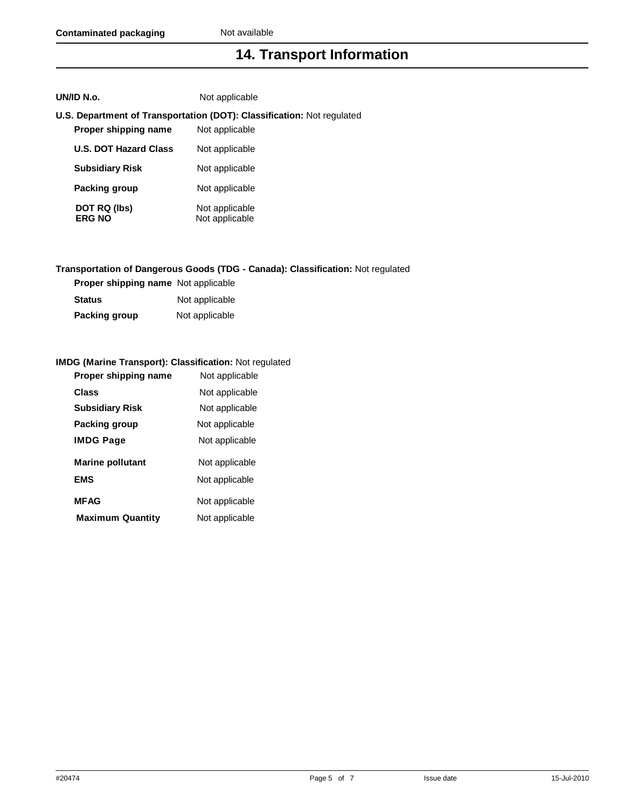## **14. Transport Information**

|                      | <b>U.S. Department of Transportation (DOT): Classification:</b> Not regulated |
|----------------------|-------------------------------------------------------------------------------|
| Proper shipping name | Not applicable                                                                |

| <b>U.S. DOT Hazard Class</b>  | Not applicable                   |
|-------------------------------|----------------------------------|
| <b>Subsidiary Risk</b>        | Not applicable                   |
| Packing group                 | Not applicable                   |
| DOT RQ (lbs)<br><b>ERG NO</b> | Not applicable<br>Not applicable |

**UN/ID N.o.** Not applicable

#### **Transportation of Dangerous Goods (TDG - Canada): Classification:** Not regulated

| <b>Proper shipping name</b> Not applicable |                |
|--------------------------------------------|----------------|
| Status                                     | Not applicable |
| Packing group                              | Not applicable |

#### **IMDG (Marine Transport): Classification:** Not regulated

| Proper shipping name    | Not applicable |  |
|-------------------------|----------------|--|
| Class                   | Not applicable |  |
| <b>Subsidiary Risk</b>  | Not applicable |  |
| Packing group           | Not applicable |  |
| <b>IMDG Page</b>        | Not applicable |  |
| <b>Marine pollutant</b> | Not applicable |  |
| <b>EMS</b>              | Not applicable |  |
| <b>MFAG</b>             | Not applicable |  |
| <b>Maximum Quantity</b> | Not applicable |  |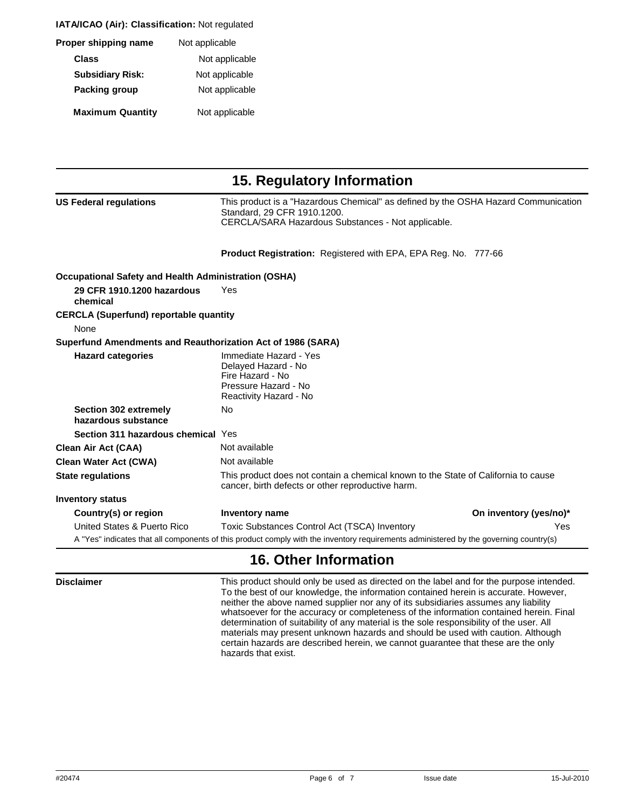**IATA/ICAO (Air): Classification: Not regulated** 

| Proper shipping name    | Not applicable |
|-------------------------|----------------|
| Class                   | Not applicable |
| <b>Subsidiary Risk:</b> | Not applicable |
| Packing group           | Not applicable |
| <b>Maximum Quantity</b> | Not applicable |

| 15. Regulatory Information                                  |                                                                                                                                                                         |                        |
|-------------------------------------------------------------|-------------------------------------------------------------------------------------------------------------------------------------------------------------------------|------------------------|
| <b>US Federal regulations</b>                               | This product is a "Hazardous Chemical" as defined by the OSHA Hazard Communication<br>Standard, 29 CFR 1910.1200.<br>CERCLA/SARA Hazardous Substances - Not applicable. |                        |
|                                                             | <b>Product Registration:</b> Registered with EPA, EPA Reg. No. 777-66                                                                                                   |                        |
| <b>Occupational Safety and Health Administration (OSHA)</b> |                                                                                                                                                                         |                        |
| 29 CFR 1910.1200 hazardous<br>chemical                      | Yes                                                                                                                                                                     |                        |
| <b>CERCLA (Superfund) reportable quantity</b>               |                                                                                                                                                                         |                        |
| None                                                        |                                                                                                                                                                         |                        |
| Superfund Amendments and Reauthorization Act of 1986 (SARA) |                                                                                                                                                                         |                        |
| <b>Hazard categories</b>                                    | Immediate Hazard - Yes<br>Delayed Hazard - No<br>Fire Hazard - No<br>Pressure Hazard - No<br>Reactivity Hazard - No                                                     |                        |
| Section 302 extremely<br>hazardous substance                | No                                                                                                                                                                      |                        |
| Section 311 hazardous chemical Yes                          |                                                                                                                                                                         |                        |
| <b>Clean Air Act (CAA)</b>                                  | Not available                                                                                                                                                           |                        |
| <b>Clean Water Act (CWA)</b>                                | Not available                                                                                                                                                           |                        |
| <b>State regulations</b>                                    | This product does not contain a chemical known to the State of California to cause<br>cancer, birth defects or other reproductive harm.                                 |                        |
| <b>Inventory status</b>                                     |                                                                                                                                                                         |                        |
| Country(s) or region                                        | Inventory name                                                                                                                                                          | On inventory (yes/no)* |
| United States & Puerto Rico                                 | Toxic Substances Control Act (TSCA) Inventory                                                                                                                           | Yes                    |
|                                                             | A "Yes" indicates that all components of this product comply with the inventory requirements administered by the governing country(s)                                   |                        |

#### **16. Other Information**

 $\overline{\phantom{a}}$ 

**Disclaimer This product should only be used as directed on the label and for the purpose intended.** To the best of our knowledge, the information contained herein is accurate. However, neither the above named supplier nor any of its subsidiaries assumes any liability whatsoever for the accuracy or completeness of the information contained herein. Final determination of suitability of any material is the sole responsibility of the user. All materials may present unknown hazards and should be used with caution. Although certain hazards are described herein, we cannot guarantee that these are the only hazards that exist.